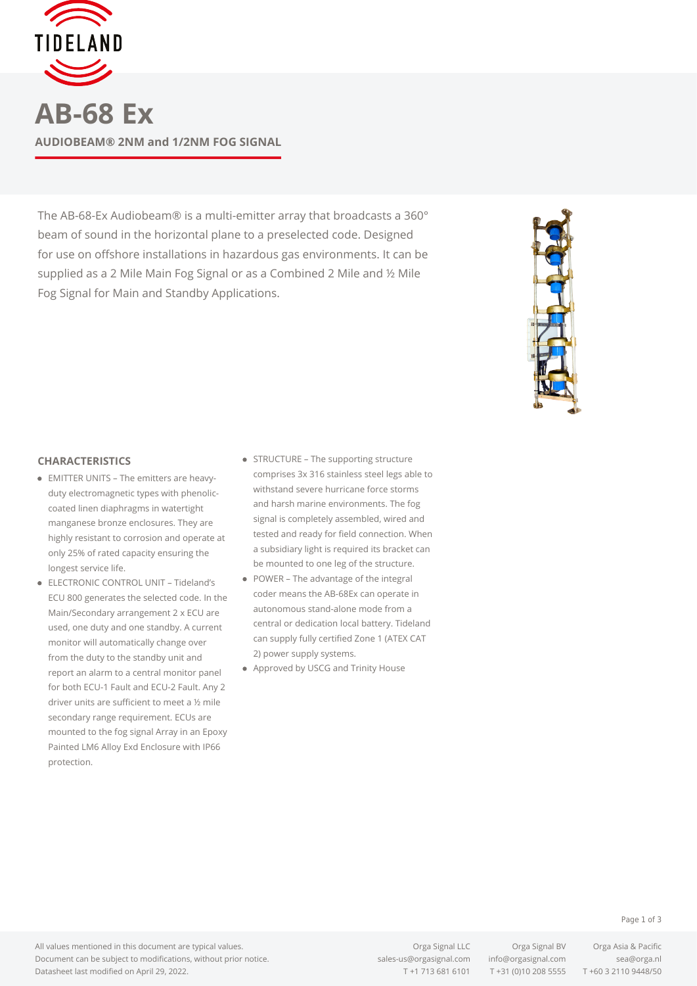

**AB-68 Ex AUDIOBEAM® 2NM and 1/2NM FOG SIGNAL**

The AB-68-Ex Audiobeam® is a multi-emitter array that broadcasts a 360° beam of sound in the horizontal plane to a preselected code. Designed for use on offshore installations in hazardous gas environments. It can be supplied as a 2 Mile Main Fog Signal or as a Combined 2 Mile and ½ Mile Fog Signal for Main and Standby Applications.



## **CHARACTERISTICS**

- EMITTER UNITS The emitters are heavyduty electromagnetic types with phenoliccoated linen diaphragms in watertight manganese bronze enclosures. They are highly resistant to corrosion and operate at only 25% of rated capacity ensuring the longest service life.
- ELECTRONIC CONTROL UNIT Tideland's ECU 800 generates the selected code. In the Main/Secondary arrangement 2 x ECU are used, one duty and one standby. A current monitor will automatically change over from the duty to the standby unit and report an alarm to a central monitor panel for both ECU-1 Fault and ECU-2 Fault. Any 2 driver units are sufficient to meet a ½ mile secondary range requirement. ECUs are mounted to the fog signal Array in an Epoxy Painted LM6 Alloy Exd Enclosure with IP66 protection.
- STRUCTURE The supporting structure comprises 3x 316 stainless steel legs able to withstand severe hurricane force storms and harsh marine environments. The fog signal is completely assembled, wired and tested and ready for field connection. When a subsidiary light is required its bracket can be mounted to one leg of the structure.
- POWER The advantage of the integral coder means the AB-68Ex can operate in autonomous stand-alone mode from a central or dedication local battery. Tideland can supply fully certified Zone 1 (ATEX CAT 2) power supply systems.
- Approved by USCG and Trinity House

## Page 1 of 3

All values mentioned in this document are typical values. Document can be subject to modifications, without prior notice. Datasheet last modified on April 29, 2022.

Orga Signal LLC Orga Signal BV Orga Asia & Pacific [sales-us@orgasignal.com](mailto:sales-us@orgasignal.com) [info@orgasignal.com](mailto:info@orgasignal.com) [sea@orga.nl](mailto:sales-us@orgasignal.com)

T +1 713 681 6101 T +31 (0)10 208 5555 T +60 3 2110 9448/50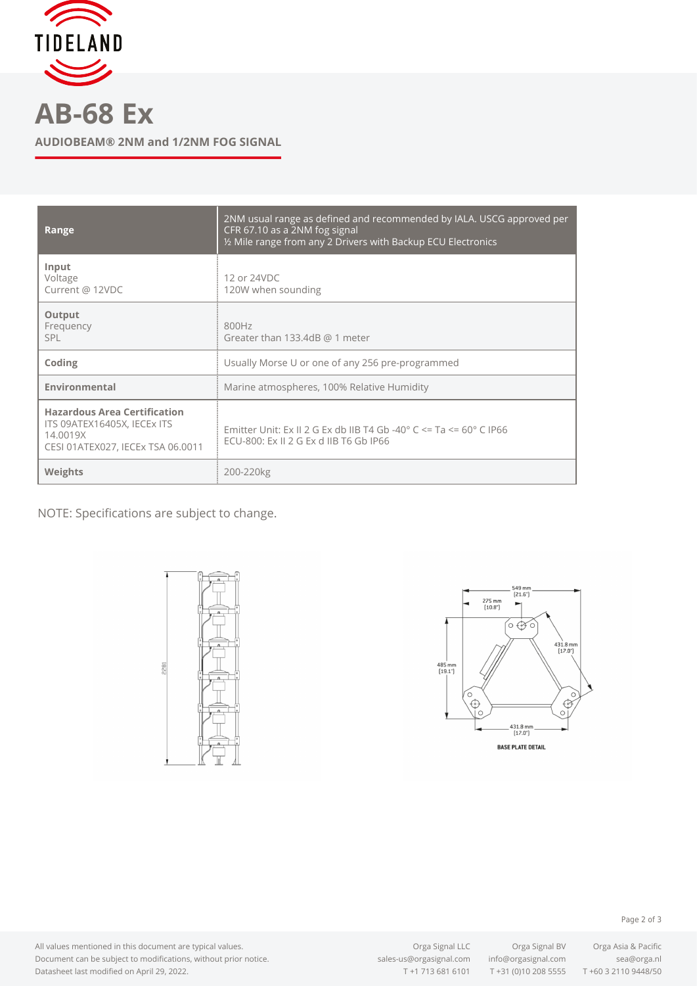

**AB-68 Ex**

**AUDIOBEAM® 2NM and 1/2NM FOG SIGNAL**

| Range                                                                                                               | 2NM usual range as defined and recommended by IALA. USCG approved per<br>CFR 67.10 as a 2NM fog signal<br>1/2 Mile range from any 2 Drivers with Backup ECU Electronics |
|---------------------------------------------------------------------------------------------------------------------|-------------------------------------------------------------------------------------------------------------------------------------------------------------------------|
| Input<br>Voltage<br>Current @ 12VDC                                                                                 | 12 or 24VDC<br>120W when sounding                                                                                                                                       |
| Output<br>Frequency<br>SPL                                                                                          | 800Hz<br>Greater than 133.4dB $@$ 1 meter                                                                                                                               |
| Coding                                                                                                              | Usually Morse U or one of any 256 pre-programmed                                                                                                                        |
| Environmental                                                                                                       | Marine atmospheres, 100% Relative Humidity                                                                                                                              |
| <b>Hazardous Area Certification</b><br>ITS 09ATEX16405X, IECEX ITS<br>14.0019X<br>CESI 01ATEX027, IECEx TSA 06.0011 | Emitter Unit: Ex II 2 G Ex db IIB T4 Gb -40 $^{\circ}$ C <= Ta <= 60 $^{\circ}$ C IP66<br>ECU-800: Ex II 2 G Ex d IIB T6 Gb IP66                                        |
| Weights                                                                                                             | 200-220kg                                                                                                                                                               |

NOTE: Specifications are subject to change.





All values mentioned in this document are typical values. Document can be subject to modifications, without prior notice. Datasheet last modified on April 29, 2022.

Orga Signal LLC Orga Signal BV Orga Asia & Pacific

 $T + 31$  (0)10 208 5555  $T + 60$  3 2110 9448/50